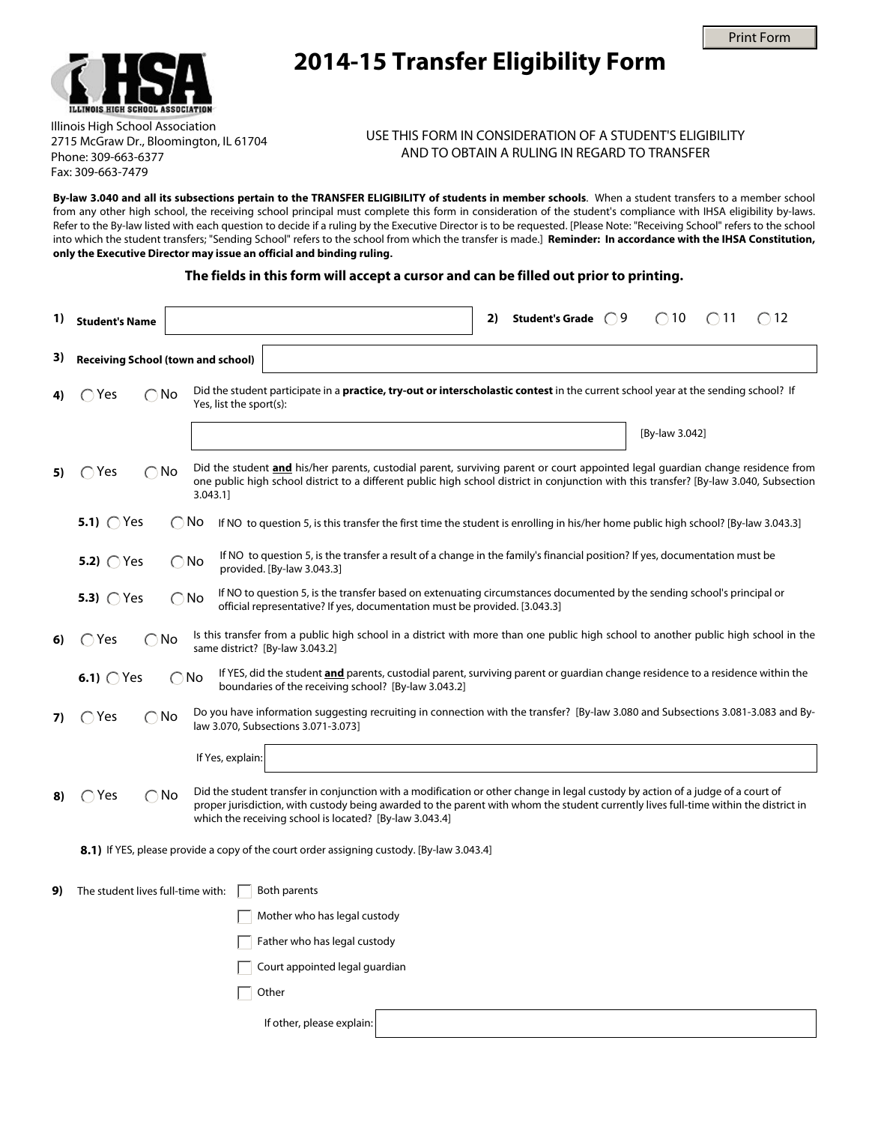



## **2014-15 Transfer Eligibility Form**

Illinois High School Association 2715 McGraw Dr., Bloomington, IL 61704 Phone: 309-663-6377 Fax: 309-663-7479

## USE THIS FORM IN CONSIDERATION OF A STUDENT'S ELIGIBILITY AND TO OBTAIN A RULING IN REGARD TO TRANSFER

**By-law 3.040 and all its subsections pertain to the TRANSFER ELIGIBILITY of students in member schools**. When a student transfers to a member school from any other high school, the receiving school principal must complete this form in consideration of the student's compliance with IHSA eligibility by-laws. Refer to the By-law listed with each question to decide if a ruling by the Executive Director is to be requested. [Please Note: "Receiving School" refers to the school into which the student transfers; "Sending School" refers to the school from which the transfer is made.] **Reminder: In accordance with the IHSA Constitution, only the Executive Director may issue an official and binding ruling.**

## **The fields in this form will accept a cursor and can be filled out prior to printing.**

| 1) | <b>Student's Name</b>                                                                                                                                                                                                                                                                                                                                                 |                                                                                                                                                                                                                        |                         |                                                                                                                                                                                                                                                                            |  | 2) | Student's Grade $\bigcirc$ 9 | $\bigcirc$ 10  | $\bigcirc$ 11 | $\bigcirc$ 12 |
|----|-----------------------------------------------------------------------------------------------------------------------------------------------------------------------------------------------------------------------------------------------------------------------------------------------------------------------------------------------------------------------|------------------------------------------------------------------------------------------------------------------------------------------------------------------------------------------------------------------------|-------------------------|----------------------------------------------------------------------------------------------------------------------------------------------------------------------------------------------------------------------------------------------------------------------------|--|----|------------------------------|----------------|---------------|---------------|
| 3) | <b>Receiving School (town and school)</b>                                                                                                                                                                                                                                                                                                                             |                                                                                                                                                                                                                        |                         |                                                                                                                                                                                                                                                                            |  |    |                              |                |               |               |
| 4) | $\bigcap$ Yes<br>$\bigcirc$ No                                                                                                                                                                                                                                                                                                                                        |                                                                                                                                                                                                                        | Yes, list the sport(s): | Did the student participate in a <b>practice, try-out or interscholastic contest</b> in the current school year at the sending school? If                                                                                                                                  |  |    |                              |                |               |               |
|    |                                                                                                                                                                                                                                                                                                                                                                       |                                                                                                                                                                                                                        |                         |                                                                                                                                                                                                                                                                            |  |    |                              | [By-law 3.042] |               |               |
| 5) | $\bigcirc$ Yes<br>◯                                                                                                                                                                                                                                                                                                                                                   | No                                                                                                                                                                                                                     | 3.043.1]                | Did the student and his/her parents, custodial parent, surviving parent or court appointed legal quardian change residence from<br>one public high school district to a different public high school district in conjunction with this transfer? [By-law 3.040, Subsection |  |    |                              |                |               |               |
|    | 5.1) $\bigcap$ Yes                                                                                                                                                                                                                                                                                                                                                    | $\bigcirc$ No                                                                                                                                                                                                          |                         | If NO to question 5, is this transfer the first time the student is enrolling in his/her home public high school? [By-law 3.043.3]                                                                                                                                         |  |    |                              |                |               |               |
|    | If NO to question 5, is the transfer a result of a change in the family's financial position? If yes, documentation must be<br>5.2) $\bigcirc$ Yes<br>$\bigcirc$ No<br>provided. [By-law 3.043.3]                                                                                                                                                                     |                                                                                                                                                                                                                        |                         |                                                                                                                                                                                                                                                                            |  |    |                              |                |               |               |
|    | 5.3) $\bigcirc$ Yes                                                                                                                                                                                                                                                                                                                                                   | If NO to question 5, is the transfer based on extenuating circumstances documented by the sending school's principal or<br>$\bigcirc$ No<br>official representative? If yes, documentation must be provided. [3.043.3] |                         |                                                                                                                                                                                                                                                                            |  |    |                              |                |               |               |
| 6) | $\bigcirc$ Yes<br>∩No                                                                                                                                                                                                                                                                                                                                                 |                                                                                                                                                                                                                        |                         | Is this transfer from a public high school in a district with more than one public high school to another public high school in the<br>same district? [By-law 3.043.2]                                                                                                     |  |    |                              |                |               |               |
|    | 6.1) $\bigcirc$ Yes                                                                                                                                                                                                                                                                                                                                                   | $\bigcirc$ No                                                                                                                                                                                                          |                         | If YES, did the student <b>and</b> parents, custodial parent, surviving parent or guardian change residence to a residence within the<br>boundaries of the receiving school? [By-law 3.043.2]                                                                              |  |    |                              |                |               |               |
| 7) | $\bigcirc$ Yes<br>∩No                                                                                                                                                                                                                                                                                                                                                 |                                                                                                                                                                                                                        |                         | Do you have information suggesting recruiting in connection with the transfer? [By-law 3.080 and Subsections 3.081-3.083 and By-<br>law 3.070, Subsections 3.071-3.073]                                                                                                    |  |    |                              |                |               |               |
|    |                                                                                                                                                                                                                                                                                                                                                                       |                                                                                                                                                                                                                        | If Yes, explain:        |                                                                                                                                                                                                                                                                            |  |    |                              |                |               |               |
| 8) | Did the student transfer in conjunction with a modification or other change in legal custody by action of a judge of a court of<br>$\bigcirc$ Yes<br>$\bigcirc$ No<br>proper jurisdiction, with custody being awarded to the parent with whom the student currently lives full-time within the district in<br>which the receiving school is located? [By-law 3.043.4] |                                                                                                                                                                                                                        |                         |                                                                                                                                                                                                                                                                            |  |    |                              |                |               |               |
|    |                                                                                                                                                                                                                                                                                                                                                                       |                                                                                                                                                                                                                        |                         | <b>8.1)</b> If YES, please provide a copy of the court order assigning custody. [By-law 3.043.4]                                                                                                                                                                           |  |    |                              |                |               |               |
| 9) | The student lives full-time with:                                                                                                                                                                                                                                                                                                                                     |                                                                                                                                                                                                                        |                         | Both parents                                                                                                                                                                                                                                                               |  |    |                              |                |               |               |
|    |                                                                                                                                                                                                                                                                                                                                                                       |                                                                                                                                                                                                                        |                         | Mother who has legal custody                                                                                                                                                                                                                                               |  |    |                              |                |               |               |
|    |                                                                                                                                                                                                                                                                                                                                                                       |                                                                                                                                                                                                                        |                         | Father who has legal custody                                                                                                                                                                                                                                               |  |    |                              |                |               |               |
|    |                                                                                                                                                                                                                                                                                                                                                                       |                                                                                                                                                                                                                        |                         | Court appointed legal guardian                                                                                                                                                                                                                                             |  |    |                              |                |               |               |
|    |                                                                                                                                                                                                                                                                                                                                                                       |                                                                                                                                                                                                                        |                         | Other                                                                                                                                                                                                                                                                      |  |    |                              |                |               |               |
|    |                                                                                                                                                                                                                                                                                                                                                                       |                                                                                                                                                                                                                        |                         | If other, please explain:                                                                                                                                                                                                                                                  |  |    |                              |                |               |               |